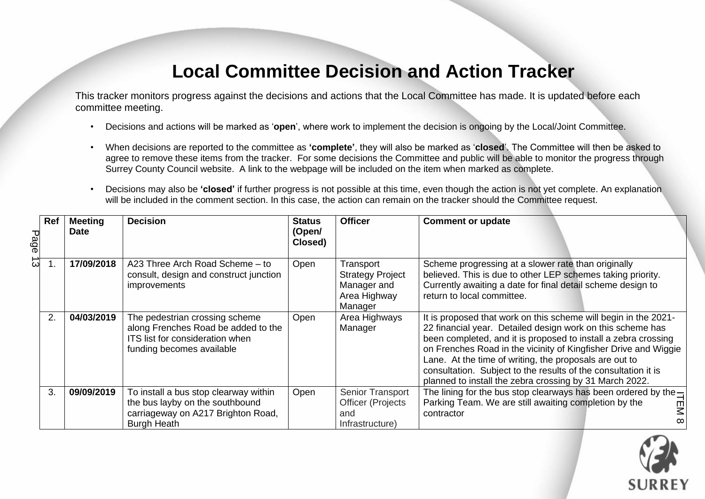## **Local Committee Decision and Action Tracker**

This tracker monitors progress against the decisions and actions that the Local Committee has made. It is updated before each committee meeting.

- Decisions and actions will be marked as '**open**', where work to implement the decision is ongoing by the Local/Joint Committee.
- When decisions are reported to the committee as **'complete'**, they will also be marked as '**closed**'. The Committee will then be asked to agree to remove these items from the tracker. For some decisions the Committee and public will be able to monitor the progress through Surrey County Council website. A link to the webpage will be included on the item when marked as complete.
- Decisions may also be **'closed'** if further progress is not possible at this time, even though the action is not yet complete. An explanation will be included in the comment section. In this case, the action can remain on the tracker should the Committee request.

| Page | Ref | <b>Meeting</b><br><b>Date</b> | <b>Decision</b>                                                                                                                       | <b>Status</b><br>(Open/<br>Closed) | <b>Officer</b>                                                                 | <b>Comment or update</b>                                                                                                                                                                                                                                                                                                                                                                                                                                  |
|------|-----|-------------------------------|---------------------------------------------------------------------------------------------------------------------------------------|------------------------------------|--------------------------------------------------------------------------------|-----------------------------------------------------------------------------------------------------------------------------------------------------------------------------------------------------------------------------------------------------------------------------------------------------------------------------------------------------------------------------------------------------------------------------------------------------------|
| ದ    |     | 17/09/2018                    | A23 Three Arch Road Scheme - to<br>consult, design and construct junction<br>improvements                                             | Open                               | Transport<br><b>Strategy Project</b><br>Manager and<br>Area Highway<br>Manager | Scheme progressing at a slower rate than originally<br>believed. This is due to other LEP schemes taking priority.<br>Currently awaiting a date for final detail scheme design to<br>return to local committee.                                                                                                                                                                                                                                           |
|      | 2.  | 04/03/2019                    | The pedestrian crossing scheme<br>along Frenches Road be added to the<br>ITS list for consideration when<br>funding becomes available | Open                               | Area Highways<br>Manager                                                       | It is proposed that work on this scheme will begin in the 2021-<br>22 financial year. Detailed design work on this scheme has<br>been completed, and it is proposed to install a zebra crossing<br>on Frenches Road in the vicinity of Kingfisher Drive and Wiggie<br>Lane. At the time of writing, the proposals are out to<br>consultation. Subject to the results of the consultation it is<br>planned to install the zebra crossing by 31 March 2022. |
|      | 3.  | 09/09/2019                    | To install a bus stop clearway within<br>the bus layby on the southbound<br>carriageway on A217 Brighton Road,<br><b>Burgh Heath</b>  | Open                               | Senior Transport<br><b>Officer (Projects</b><br>and<br>Infrastructure)         | The lining for the bus stop clearways has been ordered by the $-$<br>Parking Team. We are still awaiting completion by the<br>뫼<br>contractor<br>$\infty$                                                                                                                                                                                                                                                                                                 |